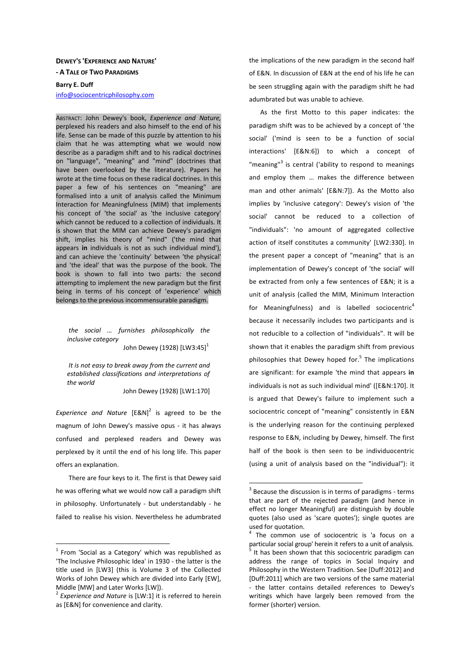## **DEWEY'S 'EXPERIENCE AND NATURE' - A TALE OF TWO PARADIGMS Barry E. Duff**

info@sociocentricphilosophy.com

ABSTRACT: John Dewey's book, *Experience and Nature,* perplexed his readers and also himself to the end of his life. Sense can be made of this puzzle by attention to his claim that he was attempting what we would now describe as a paradigm shift and to his radical doctrines on "language", "meaning" and "mind" (doctrines that have been overlooked by the literature). Papers he wrote at the time focus on these radical doctrines. In this paper a few of his sentences on "meaning" are formalised into a unit of analysis called the Minimum Interaction for Meaningfulness (MIM) that implements his concept of 'the social' as 'the inclusive category' which cannot be reduced to a collection of individuals. It is shown that the MIM can achieve Dewey's paradigm shift, implies his theory of "mind" ('the mind that appears **in** individuals is not as such individual mind'), and can achieve the 'continuity' between 'the physical' and 'the ideal' that was the purpose of the book. The book is shown to fall into two parts: the second attempting to implement the new paradigm but the first being in terms of his concept of 'experience' which belongs to the previous incommensurable paradigm.

 *the social … furnishes philosophically the inclusive category*  John Dewey (1928)  $[LW3:45]$ <sup>1</sup>

 *It is not easy to break away from the current and established classifications and interpretations of the world* 

John Dewey (1928) [LW1:170]

*Experience and Nature*  $[ESN]^2$  is agreed to be the magnum of John Dewey's massive opus - it has always confused and perplexed readers and Dewey was perplexed by it until the end of his long life. This paper offers an explanation.

 There are four keys to it. The first is that Dewey said he was offering what we would now call a paradigm shift in philosophy. Unfortunately - but understandably - he failed to realise his vision. Nevertheless he adumbrated

 $\overline{a}$ 

the implications of the new paradigm in the second half of E&N. In discussion of E&N at the end of his life he can be seen struggling again with the paradigm shift he had adumbrated but was unable to achieve.

As the first Motto to this paper indicates: the paradigm shift was to be achieved by a concept of 'the social' ('mind is seen to be a function of social interactions' [E&N:6]) to which a concept of "meaning"<sup>3</sup> is central ('ability to respond to meanings and employ them … makes the difference between man and other animals' [E&N:7]). As the Motto also implies by 'inclusive category': Dewey's vision of 'the social' cannot be reduced to a collection of "individuals": 'no amount of aggregated collective action of itself constitutes a community' [LW2:330]. In the present paper a concept of "meaning" that is an implementation of Dewey's concept of 'the social' will be extracted from only a few sentences of E&N; it is a unit of analysis (called the MIM, Minimum Interaction for Meaningfulness) and is labelled sociocentric<sup>4</sup> because it necessarily includes two participants and is not reducible to a collection of "individuals". It will be shown that it enables the paradigm shift from previous philosophies that Dewey hoped for.<sup>5</sup> The implications are significant: for example 'the mind that appears **in** individuals is not as such individual mind' ([E&N:170]. It is argued that Dewey's failure to implement such a sociocentric concept of "meaning" consistently in E&N is the underlying reason for the continuing perplexed response to E&N, including by Dewey, himself. The first half of the book is then seen to be individuocentric (using a unit of analysis based on the "individual"): it

 $1$  From 'Social as a Category' which was republished as 'The Inclusive Philosophic Idea' in 1930 - the latter is the title used in [LW3] (this is Volume 3 of the Collected Works of John Dewey which are divided into Early [EW], Middle [MW] and Later Works [LW]).

<sup>2</sup> *Experience and Nature* is [LW:1] it is referred to herein as [E&N] for convenience and clarity.

 $3$  Because the discussion is in terms of paradigms - terms that are part of the rejected paradigm (and hence in effect no longer Meaningful) are distinguish by double quotes (also used as 'scare quotes'); single quotes are used for quotation.

<sup>&</sup>lt;sup>4</sup> The common use of sociocentric is 'a focus on a particular social group' herein it refers to a unit of analysis.<br><sup>5</sup> It has been shown that this sociosantric paradigm can It has been shown that this sociocentric paradigm can address the range of topics in Social Inquiry and Philosophy in the Western Tradition. See [Duff:2012] and [Duff:2011] which are two versions of the same material - the latter contains detailed references to Dewey's writings which have largely been removed from the former (shorter) version.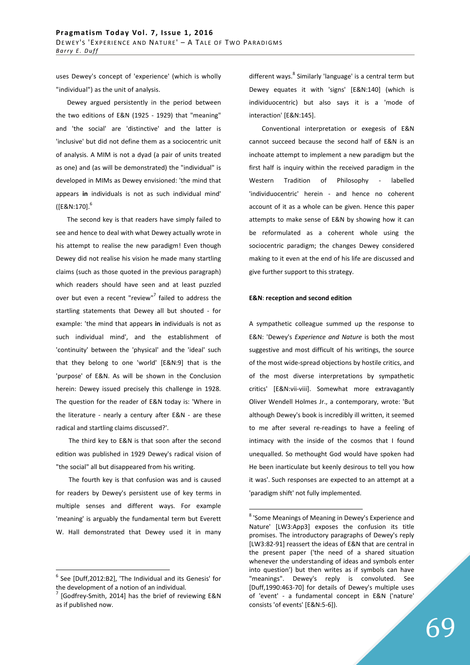uses Dewey's concept of 'experience' (which is wholly "individual") as the unit of analysis.

Dewey argued persistently in the period between the two editions of E&N (1925 - 1929) that "meaning" and 'the social' are 'distinctive' and the latter is 'inclusive' but did not define them as a sociocentric unit of analysis. A MIM is not a dyad (a pair of units treated as one) and (as will be demonstrated) the "individual" is developed in MIMs as Dewey envisioned: 'the mind that appears **in** individuals is not as such individual mind'  $(IE&N:170]$ .<sup>6</sup>

The second key is that readers have simply failed to see and hence to deal with what Dewey actually wrote in his attempt to realise the new paradigm! Even though Dewey did not realise his vision he made many startling claims (such as those quoted in the previous paragraph) which readers should have seen and at least puzzled over but even a recent "review"<sup>7</sup> failed to address the startling statements that Dewey all but shouted - for example: 'the mind that appears **in** individuals is not as such individual mind', and the establishment of 'continuity' between the 'physical' and the 'ideal' such that they belong to one 'world' [E&N:9] that is the 'purpose' of E&N. As will be shown in the Conclusion herein: Dewey issued precisely this challenge in 1928. The question for the reader of E&N today is: 'Where in the literature - nearly a century after E&N - are these radical and startling claims discussed?'.

 The third key to E&N is that soon after the second edition was published in 1929 Dewey's radical vision of "the social" all but disappeared from his writing.

 The fourth key is that confusion was and is caused for readers by Dewey's persistent use of key terms in multiple senses and different ways. For example 'meaning' is arguably the fundamental term but Everett W. Hall demonstrated that Dewey used it in many

 $\overline{a}$ 

different ways. <sup>8</sup> Similarly 'language' is a central term but Dewey equates it with 'signs' [E&N:140] (which is individuocentric) but also says it is a 'mode of interaction' [E&N:145].

 Conventional interpretation or exegesis of E&N cannot succeed because the second half of E&N is an inchoate attempt to implement a new paradigm but the first half is inquiry within the received paradigm in the Western Tradition of Philosophy - labelled 'individuocentric' herein - and hence no coherent account of it as a whole can be given. Hence this paper attempts to make sense of E&N by showing how it can be reformulated as a coherent whole using the sociocentric paradigm; the changes Dewey considered making to it even at the end of his life are discussed and give further support to this strategy.

## **E&N**: **reception and second edition**

 $\overline{a}$ 

A sympathetic colleague summed up the response to E&N: 'Dewey's *Experience and Nature* is both the most suggestive and most difficult of his writings, the source of the most wide-spread objections by hostile critics, and of the most diverse interpretations by sympathetic critics' [E&N:vii-viii]. Somewhat more extravagantly Oliver Wendell Holmes Jr., a contemporary, wrote: 'But although Dewey's book is incredibly ill written, it seemed to me after several re-readings to have a feeling of intimacy with the inside of the cosmos that I found unequalled. So methought God would have spoken had He been inarticulate but keenly desirous to tell you how it was'. Such responses are expected to an attempt at a 'paradigm shift' not fully implemented.

 $<sup>6</sup>$  See [Duff,2012:B2], 'The Individual and its Genesis' for</sup> the development of a notion of an individual.

<sup>7</sup> [Godfrey-Smith, 2014] has the brief of reviewing E&N as if published now.

<sup>&</sup>lt;sup>8</sup> 'Some Meanings of Meaning in Dewey's Experience and Nature' [LW3:App3] exposes the confusion its title promises. The introductory paragraphs of Dewey's reply [LW3:82-91] reassert the ideas of E&N that are central in the present paper ('the need of a shared situation whenever the understanding of ideas and symbols enter into question') but then writes as if symbols can have "meanings". Dewey's reply is convoluted. See [Duff,1990:463-70] for details of Dewey's multiple uses of 'event' - a fundamental concept in E&N ('nature' consists 'of events' [E&N:5-6]).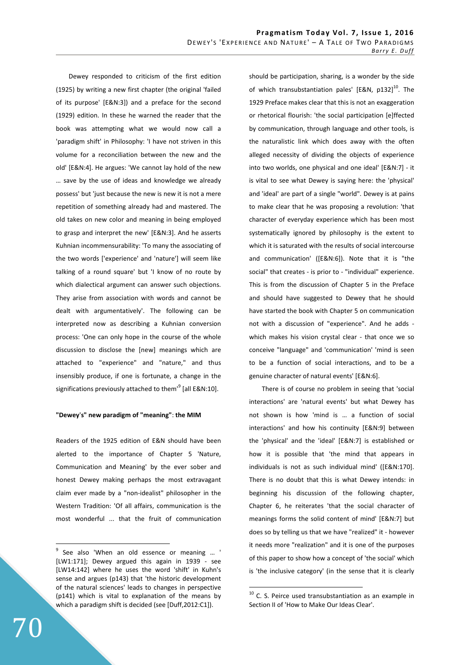Dewey responded to criticism of the first edition (1925) by writing a new first chapter (the original 'failed of its purpose' [E&N:3]) and a preface for the second (1929) edition. In these he warned the reader that the book was attempting what we would now call a 'paradigm shift' in Philosophy: 'I have not striven in this volume for a reconciliation between the new and the old' [E&N:4]. He argues: 'We cannot lay hold of the new … save by the use of ideas and knowledge we already possess' but 'just because the new is new it is not a mere repetition of something already had and mastered. The old takes on new color and meaning in being employed to grasp and interpret the new' [E&N:3]. And he asserts Kuhnian incommensurability: 'To many the associating of the two words ['experience' and 'nature'] will seem like talking of a round square' but 'I know of no route by which dialectical argument can answer such objections. They arise from association with words and cannot be dealt with argumentatively'. The following can be interpreted now as describing a Kuhnian conversion process: 'One can only hope in the course of the whole discussion to disclose the [new] meanings which are attached to "experience" and "nature," and thus insensibly produce, if one is fortunate, a change in the significations previously attached to them<sup>'9</sup> [all E&N:10].

## **"Dewey**'**s" new paradigm of "meaning"**: **the MIM**

Readers of the 1925 edition of E&N should have been alerted to the importance of Chapter 5 'Nature, Communication and Meaning' by the ever sober and honest Dewey making perhaps the most extravagant claim ever made by a "non-idealist" philosopher in the Western Tradition: 'Of all affairs, communication is the most wonderful ... that the fruit of communication should be participation, sharing, is a wonder by the side of which transubstantiation pales' [E&N, p132]<sup>10</sup>. The 1929 Preface makes clear that this is not an exaggeration or rhetorical flourish: 'the social participation [e]ffected by communication, through language and other tools, is the naturalistic link which does away with the often alleged necessity of dividing the objects of experience into two worlds, one physical and one ideal' [E&N:7] - it is vital to see what Dewey is saying here: the 'physical' and 'ideal' are part of a single "world". Dewey is at pains to make clear that he was proposing a revolution: 'that character of everyday experience which has been most systematically ignored by philosophy is the extent to which it is saturated with the results of social intercourse and communication' ([E&N:6]). Note that it is "the social" that creates - is prior to - "individual" experience. This is from the discussion of Chapter 5 in the Preface and should have suggested to Dewey that he should have started the book with Chapter 5 on communication not with a discussion of "experience". And he adds which makes his vision crystal clear - that once we so conceive "language" and 'communication' 'mind is seen to be a function of social interactions, and to be a genuine character of natural events' [E&N:6].

 There is of course no problem in seeing that 'social interactions' are 'natural events' but what Dewey has not shown is how 'mind is … a function of social interactions' and how his continuity [E&N:9] between the 'physical' and the 'ideal' [E&N:7] is established or how it is possible that 'the mind that appears in individuals is not as such individual mind' ([E&N:170]. There is no doubt that this is what Dewey intends: in beginning his discussion of the following chapter, Chapter 6, he reiterates 'that the social character of meanings forms the solid content of mind' [E&N:7] but does so by telling us that we have "realized" it - however it needs more "realization" and it is one of the purposes of this paper to show how a concept of 'the social' which is 'the inclusive category' (in the sense that it is clearly

 $\overline{a}$ 

<sup>&</sup>lt;sup>9</sup> See also 'When an old essence or meaning ... ' [LW1:171]; Dewey argued this again in 1939 - see [LW14:142] where he uses the word 'shift' in Kuhn's sense and argues (p143) that 'the historic development of the natural sciences' leads to changes in perspective (p141) which is vital to explanation of the means by which a paradigm shift is decided (see [Duff,2012:C1]).

 $10$  C. S. Peirce used transubstantiation as an example in Section II of 'How to Make Our Ideas Clear'.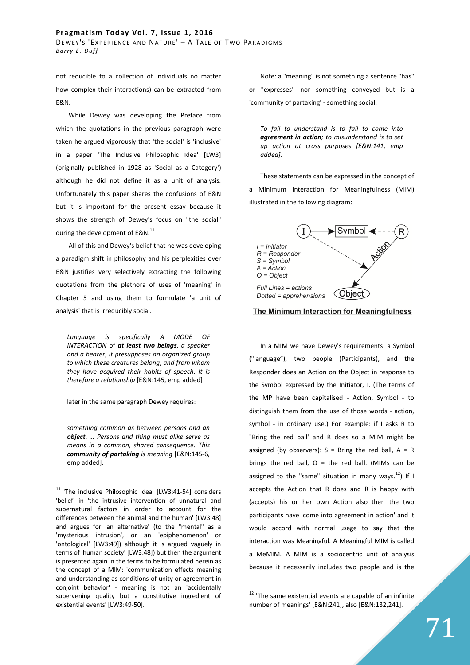not reducible to a collection of individuals no matter how complex their interactions) can be extracted from E&N.

 While Dewey was developing the Preface from which the quotations in the previous paragraph were taken he argued vigorously that 'the social' is 'inclusive' in a paper 'The Inclusive Philosophic Idea' [LW3] (originally published in 1928 as 'Social as a Category') although he did not define it as a unit of analysis. Unfortunately this paper shares the confusions of E&N but it is important for the present essay because it shows the strength of Dewey's focus on "the social" during the development of E&N.<sup>11</sup>

 All of this and Dewey's belief that he was developing a paradigm shift in philosophy and his perplexities over E&N justifies very selectively extracting the following quotations from the plethora of uses of 'meaning' in Chapter 5 and using them to formulate 'a unit of analysis' that is irreducibly social.

*Language is specifically A MODE OF INTERACTION* of *at least two beings*, *a speaker and a hearer*; *it presupposes an organized group to which these creatures belong*, *and from whom they have acquired their habits of speech*. *It is therefore a relationship* [E&N:145, emp added]

later in the same paragraph Dewey requires:

*something common as between persons and an object*. *… Persons and thing must alike serve as means in a common*, *shared consequence*. *This community of partaking is meaning* [E&N:145-6, emp added].

 $\overline{a}$ 

Note: a "meaning" is not something a sentence "has" or "expresses" nor something conveyed but is a 'community of partaking' - something social.

*To fail to understand is to fail to come into agreement in action; to misunderstand is to set up action at cross purposes [E&N:141, emp added].* 

These statements can be expressed in the concept of a Minimum Interaction for Meaningfulness (MIM) illustrated in the following diagram:





In a MIM we have Dewey's requirements: a Symbol ("language"), two people (Participants), and the Responder does an Action on the Object in response to the Symbol expressed by the Initiator, I. (The terms of the MP have been capitalised - Action, Symbol - to distinguish them from the use of those words - action, symbol - in ordinary use.) For example: if I asks R to "Bring the red ball' and R does so a MIM might be assigned (by observers):  $S =$  Bring the red ball,  $A = R$ brings the red ball,  $O =$  the red ball. (MIMs can be assigned to the "same" situation in many ways. $^{12}$ ) If I accepts the Action that R does and R is happy with (accepts) his or her own Action also then the two participants have 'come into agreement in action' and it would accord with normal usage to say that the interaction was Meaningful. A Meaningful MIM is called a MeMIM. A MIM is a sociocentric unit of analysis because it necessarily includes two people and is the

 $11$  'The inclusive Philosophic Idea' [LW3:41-54] considers 'belief' in 'the intrusive intervention of unnatural and supernatural factors in order to account for the differences between the animal and the human' [LW3:48] and argues for 'an alternative' (to the "mental" as a 'mysterious intrusion', or an 'epiphenomenon' or 'ontological' [LW3:49]) although it is argued vaguely in terms of 'human society' [LW3:48]) but then the argument is presented again in the terms to be formulated herein as the concept of a MIM: 'communication effects meaning and understanding as conditions of unity or agreement in conjoint behavior' - meaning is not an 'accidentally supervening quality but a constitutive ingredient of existential events' [LW3:49-50].

 $12$  'The same existential events are capable of an infinite number of meanings' [E&N:241], also [E&N:132,241].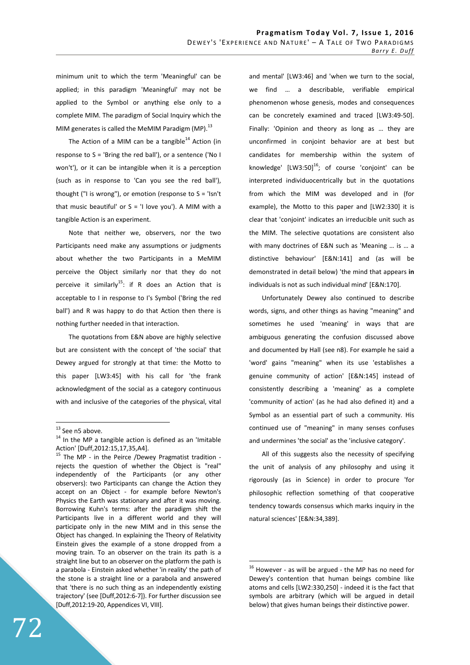minimum unit to which the term 'Meaningful' can be applied; in this paradigm 'Meaningful' may not be applied to the Symbol or anything else only to a complete MIM. The paradigm of Social Inquiry which the MIM generates is called the MeMIM Paradigm (MP). $^{13}$ 

The Action of a MIM can be a tangible<sup>14</sup> Action (in response to S = 'Bring the red ball'), or a sentence ('No I won't'), or it can be intangible when it is a perception (such as in response to 'Can you see the red ball'), thought ("I is wrong"), or emotion (response to  $S = 'Isn't$ that music beautiful' or  $S = 'I$  love you'). A MIM with a tangible Action is an experiment.

 Note that neither we, observers, nor the two Participants need make any assumptions or judgments about whether the two Participants in a MeMIM perceive the Object similarly nor that they do not perceive it similarly<sup>15</sup>: if R does an Action that is acceptable to I in response to I's Symbol ('Bring the red ball') and R was happy to do that Action then there is nothing further needed in that interaction.

 The quotations from E&N above are highly selective but are consistent with the concept of 'the social' that Dewey argued for strongly at that time: the Motto to this paper [LW3:45] with his call for 'the frank acknowledgment of the social as a category continuous with and inclusive of the categories of the physical, vital

 $\overline{a}$ 

and mental' [LW3:46] and 'when we turn to the social, we find … a describable, verifiable empirical phenomenon whose genesis, modes and consequences can be concretely examined and traced [LW3:49-50]. Finally: 'Opinion and theory as long as … they are unconfirmed in conjoint behavior are at best but candidates for membership within the system of knowledge'  $[LW3:50]^{16}$ ; of course 'conjoint' can be interpreted individuocentrically but in the quotations from which the MIM was developed and in (for example), the Motto to this paper and [LW2:330] it is clear that 'conjoint' indicates an irreducible unit such as the MIM. The selective quotations are consistent also with many doctrines of E&N such as 'Meaning … is … a distinctive behaviour' [E&N:141] and (as will be demonstrated in detail below) 'the mind that appears **in** individuals is not as such individual mind' [E&N:170].

 Unfortunately Dewey also continued to describe words, signs, and other things as having "meaning" and sometimes he used 'meaning' in ways that are ambiguous generating the confusion discussed above and documented by Hall (see n8). For example he said a 'word' gains "meaning" when its use 'establishes a genuine community of action' [E&N:145] instead of consistently describing a 'meaning' as a complete 'community of action' (as he had also defined it) and a Symbol as an essential part of such a community. His continued use of "meaning" in many senses confuses and undermines 'the social' as the 'inclusive category'.

 All of this suggests also the necessity of specifying the unit of analysis of any philosophy and using it rigorously (as in Science) in order to procure 'for philosophic reflection something of that cooperative tendency towards consensus which marks inquiry in the natural sciences' [E&N:34,389].

<sup>&</sup>lt;sup>13</sup> See n5 above.

<sup>&</sup>lt;sup>14</sup> In the MP a tangible action is defined as an 'Imitable Action' [Duff,2012:15,17,35,A4].

<sup>&</sup>lt;sup>15</sup> The MP - in the Peirce /Dewey Pragmatist tradition rejects the question of whether the Object is "real" independently of the Participants (or any other observers): two Participants can change the Action they accept on an Object - for example before Newton's Physics the Earth was stationary and after it was moving. Borrowing Kuhn's terms: after the paradigm shift the Participants live in a different world and they will participate only in the new MIM and in this sense the Object has changed. In explaining the Theory of Relativity Einstein gives the example of a stone dropped from a moving train. To an observer on the train its path is a straight line but to an observer on the platform the path is a parabola - Einstein asked whether 'in reality' the path of the stone is a straight line or a parabola and answered that 'there is no such thing as an independently existing trajectory' (see [Duff,2012:6-7]). For further discussion see [Duff,2012:19-20, Appendices VI, VIII].

 $16$  However - as will be argued - the MP has no need for Dewey's contention that human beings combine like atoms and cells [LW2:330,250] - indeed it is the fact that symbols are arbitrary (which will be argued in detail below) that gives human beings their distinctive power.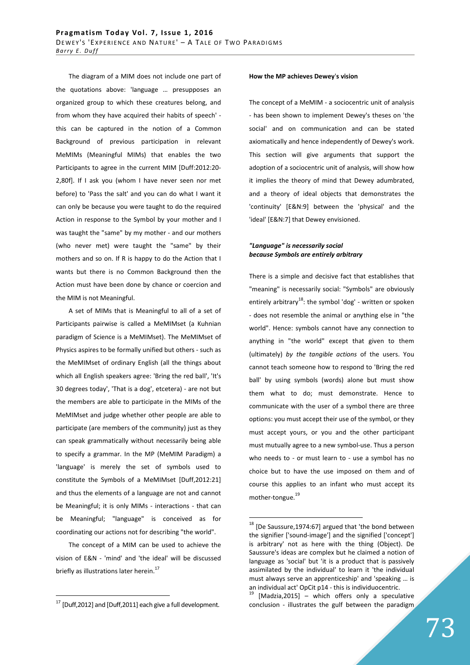The diagram of a MIM does not include one part of the quotations above: 'language … presupposes an organized group to which these creatures belong, and from whom they have acquired their habits of speech' this can be captured in the notion of a Common Background of previous participation in relevant MeMIMs (Meaningful MIMs) that enables the two Participants to agree in the current MIM [Duff:2012:20- 2,80f]. If I ask you (whom I have never seen nor met before) to 'Pass the salt' and you can do what I want it can only be because you were taught to do the required Action in response to the Symbol by your mother and I was taught the "same" by my mother - and our mothers (who never met) were taught the "same" by their mothers and so on. If R is happy to do the Action that I wants but there is no Common Background then the Action must have been done by chance or coercion and the MIM is not Meaningful.

 A set of MIMs that is Meaningful to all of a set of Participants pairwise is called a MeMIMset (a Kuhnian paradigm of Science is a MeMIMset). The MeMIMset of Physics aspires to be formally unified but others - such as the MeMIMset of ordinary English (all the things about which all English speakers agree: 'Bring the red ball', 'It's 30 degrees today', 'That is a dog', etcetera) - are not but the members are able to participate in the MIMs of the MeMIMset and judge whether other people are able to participate (are members of the community) just as they can speak grammatically without necessarily being able to specify a grammar. In the MP (MeMIM Paradigm) a 'language' is merely the set of symbols used to constitute the Symbols of a MeMIMset [Duff,2012:21] and thus the elements of a language are not and cannot be Meaningful; it is only MIMs - interactions - that can be Meaningful; "language" is conceived as for coordinating our actions not for describing "the world".

 The concept of a MIM can be used to achieve the vision of E&N - 'mind' and 'the ideal' will be discussed briefly as illustrations later herein. $^{17}$ 

 $\overline{a}$ 

#### **How the MP achieves Dewey**'**s vision**

The concept of a MeMIM - a sociocentric unit of analysis - has been shown to implement Dewey's theses on 'the social' and on communication and can be stated axiomatically and hence independently of Dewey's work. This section will give arguments that support the adoption of a sociocentric unit of analysis, will show how it implies the theory of mind that Dewey adumbrated, and a theory of ideal objects that demonstrates the 'continuity' [E&N:9] between the 'physical' and the 'ideal' [E&N:7] that Dewey envisioned.

## *"Language" is necessarily social because Symbols are entirely arbitrary*

There is a simple and decisive fact that establishes that "meaning" is necessarily social: "Symbols" are obviously entirely arbitrary<sup>18</sup>: the symbol 'dog' - written or spoken - does not resemble the animal or anything else in "the world". Hence: symbols cannot have any connection to anything in "the world" except that given to them (ultimately) *by the tangible actions* of the users. You cannot teach someone how to respond to 'Bring the red ball' by using symbols (words) alone but must show them what to do; must demonstrate. Hence to communicate with the user of a symbol there are three options: you must accept their use of the symbol, or they must accept yours, or you and the other participant must mutually agree to a new symbol-use. Thus a person who needs to - or must learn to - use a symbol has no choice but to have the use imposed on them and of course this applies to an infant who must accept its mother-tongue.<sup>19</sup>

 $17$  [Duff, 2012] and [Duff, 2011] each give a full development.

 $18$  [De Saussure, 1974:67] argued that 'the bond between the signifier ['sound-image'] and the signified ['concept'] is arbitrary' not as here with the thing (Object). De Saussure's ideas are complex but he claimed a notion of language as 'social' but 'it is a product that is passively assimilated by the individual' to learn it 'the individual must always serve an apprenticeship' and 'speaking … is an individual act' OpCit p14 - this is individuocentric.

 $19$  [Madzia, 2015] – which offers only a speculative conclusion - illustrates the gulf between the paradigm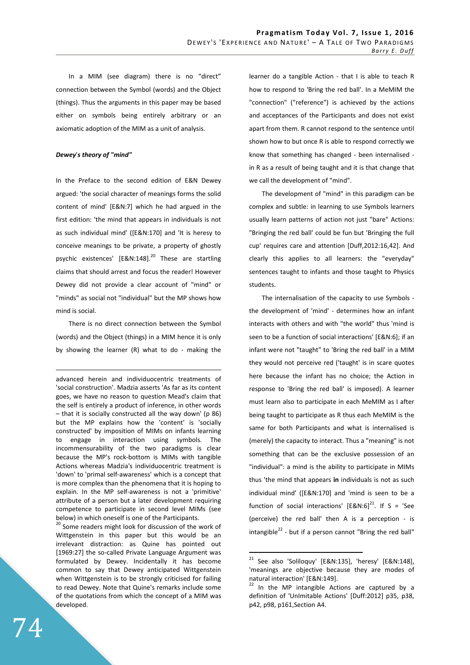In a MIM (see diagram) there is no "direct" connection between the Symbol (words) and the Object (things). Thus the arguments in this paper may be based either on symbols being entirely arbitrary or an axiomatic adoption of the MIM as a unit of analysis.

## *Dewey*'*s theory of "mind"*

In the Preface to the second edition of E&N Dewey argued: 'the social character of meanings forms the solid content of mind' [E&N:7] which he had argued in the first edition: 'the mind that appears in individuals is not as such individual mind' ([E&N:170] and 'It is heresy to conceive meanings to be private, a property of ghostly psychic existences' [E&N:148].<sup>20</sup> These are startling claims that should arrest and focus the reader! However Dewey did not provide a clear account of "mind" or "minds" as social not "individual" but the MP shows how mind is social.

 There is no direct connection between the Symbol (words) and the Object (things) in a MIM hence it is only by showing the learner (R) what to do - making the

advanced herein and individuocentric treatments of 'social construction'. Madzia asserts 'As far as its content goes, we have no reason to question Mead's claim that the self is entirely a product of inference, in other words  $-$  that it is socially constructed all the way down' (p 86) but the MP explains how the 'content' is 'socially constructed' by imposition of MIMs on infants learning to engage in interaction using symbols. The incommensurability of the two paradigms is clear because the MP's rock-bottom is MIMs with tangible Actions whereas Madzia's individuocentric treatment is 'down' to 'primal self-awareness' which is a concept that is more complex than the phenomena that it is hoping to explain. In the MP self-awareness is not a 'primitive' attribute of a person but a later development requiring competence to participate in second level MIMs (see below) in which oneself is one of the Participants.

<sup>20</sup> Some readers might look for discussion of the work of Wittgenstein in this paper but this would be an irrelevant distraction: as Quine has pointed out [1969:27] the so-called Private Language Argument was formulated by Dewey. Incidentally it has become common to say that Dewey anticipated Wittgenstein when Wittgenstein is to be strongly criticised for failing to read Dewey. Note that Quine's remarks include some of the quotations from which the concept of a MIM was developed.

learner do a tangible Action - that I is able to teach R how to respond to 'Bring the red ball'. In a MeMIM the "connection" ("reference") is achieved by the actions and acceptances of the Participants and does not exist apart from them. R cannot respond to the sentence until shown how to but once R is able to respond correctly we know that something has changed - been internalised in R as a result of being taught and it is that change that we call the development of "mind".

 The development of "mind" in this paradigm can be complex and subtle: in learning to use Symbols learners usually learn patterns of action not just "bare" Actions: "Bringing the red ball' could be fun but 'Bringing the full cup' requires care and attention [Duff,2012:16,42]. And clearly this applies to all learners: the "everyday" sentences taught to infants and those taught to Physics students.

 The internalisation of the capacity to use Symbols the development of 'mind' - determines how an infant interacts with others and with "the world" thus 'mind is seen to be a function of social interactions' [E&N:6]; if an infant were not "taught" to 'Bring the red ball' in a MIM they would not perceive red ('taught' is in scare quotes here because the infant has no choice; the Action in response to 'Bring the red ball' is imposed). A learner must learn also to participate in each MeMIM as I after being taught to participate as R thus each MeMIM is the same for both Participants and what is internalised is (merely) the capacity to interact. Thus a "meaning" is not something that can be the exclusive possession of an "individual": a mind is the ability to participate in MIMs thus 'the mind that appears **in** individuals is not as such individual mind' ([E&N:170] and 'mind is seen to be a function of social interactions'  $[ESN:6]^{21}$ . If S = 'See (perceive) the red ball' then A is a perception - is intangible<sup>22</sup> - but if a person cannot "Bring the red ball"

 $\overline{a}$ 

<u>.</u>

<sup>21</sup> See also 'Soliloquy' [E&N:135], 'heresy' [E&N:148], 'meanings are objective because they are modes of natural interaction' [E&N:149].

 $22$  In the MP intangible Actions are captured by a definition of 'UnImitable Actions' [Duff:2012] p35, p38, p42, p98, p161,Section A4.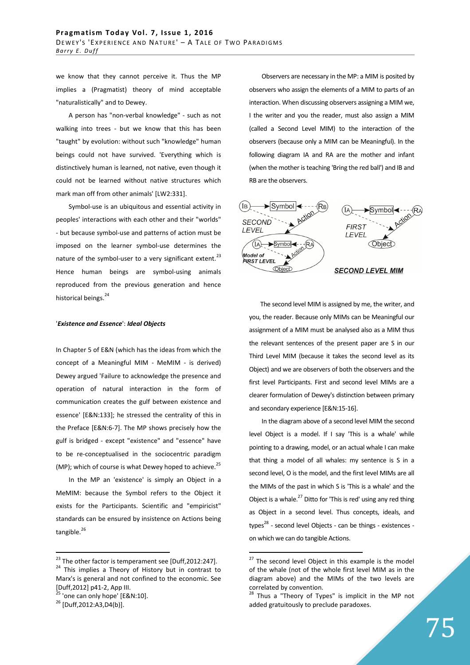we know that they cannot perceive it. Thus the MP implies a (Pragmatist) theory of mind acceptable "naturalistically" and to Dewey.

 A person has "non-verbal knowledge" - such as not walking into trees - but we know that this has been "taught" by evolution: without such "knowledge" human beings could not have survived. 'Everything which is distinctively human is learned, not native, even though it could not be learned without native structures which mark man off from other animals' [LW2:331].

 Symbol-use is an ubiquitous and essential activity in peoples' interactions with each other and their "worlds" - but because symbol-use and patterns of action must be imposed on the learner symbol-use determines the nature of the symbol-user to a very significant extent.<sup>23</sup> Hence human beings are symbol-using animals reproduced from the previous generation and hence historical beings.<sup>24</sup>

## '*Existence and Essence*': *Ideal Objects*

In Chapter 5 of E&N (which has the ideas from which the concept of a Meaningful MIM - MeMIM - is derived) Dewey argued 'Failure to acknowledge the presence and operation of natural interaction in the form of communication creates the gulf between existence and essence' [E&N:133]; he stressed the centrality of this in the Preface [E&N:6-7]. The MP shows precisely how the gulf is bridged - except "existence" and "essence" have to be re-conceptualised in the sociocentric paradigm (MP); which of course is what Dewey hoped to achieve.<sup>25</sup>

 In the MP an 'existence' is simply an Object in a MeMIM: because the Symbol refers to the Object it exists for the Participants. Scientific and "empiricist" standards can be ensured by insistence on Actions being tangible.<sup>26</sup>

 $\frac{3}{5}$  'one can only hope' [E&N:10].

 $\overline{a}$ 

 Observers are necessary in the MP: a MIM is posited by observers who assign the elements of a MIM to parts of an interaction. When discussing observers assigning a MIM we, I the writer and you the reader, must also assign a MIM (called a Second Level MIM) to the interaction of the observers (because only a MIM can be Meaningful). In the following diagram IA and RA are the mother and infant (when the mother is teaching 'Bring the red ball') and IB and RB are the observers.



The second level MIM is assigned by me, the writer, and you, the reader. Because only MIMs can be Meaningful our assignment of a MIM must be analysed also as a MIM thus the relevant sentences of the present paper are S in our Third Level MIM (because it takes the second level as its Object) and we are observers of both the observers and the first level Participants. First and second level MIMs are a clearer formulation of Dewey's distinction between primary and secondary experience [E&N:15-16].

 In the diagram above of a second level MIM the second level Object is a model. If I say 'This is a whale' while pointing to a drawing, model, or an actual whale I can make that thing a model of all whales: my sentence is S in a second level, O is the model, and the first level MIMs are all the MIMs of the past in which S is 'This is a whale' and the Object is a whale. $^{27}$  Ditto for 'This is red' using any red thing as Object in a second level. Thus concepts, ideals, and types $^{28}$  - second level Objects - can be things - existences on which we can do tangible Actions.

 $23$  The other factor is temperament see [Duff,2012:247].

<sup>&</sup>lt;sup>24</sup> This implies a Theory of History but in contrast to Marx's is general and not confined to the economic. See [Duff,2012] p41-2, App III.

<sup>26</sup> [Duff,2012:A3,D4(b)].

 $27$  The second level Object in this example is the model of the whale (not of the whole first level MIM as in the diagram above) and the MIMs of the two levels are correlated by convention.

<sup>&</sup>lt;sup>28</sup> Thus a "Theory of Types" is implicit in the MP not added gratuitously to preclude paradoxes.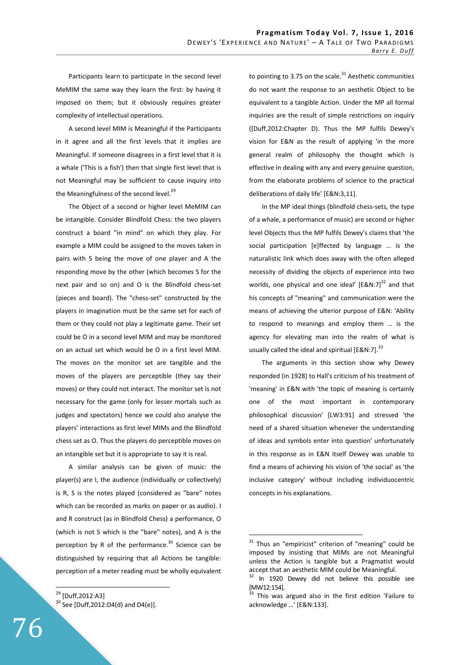Participants learn to participate in the second level MeMIM the same way they learn the first: by having it imposed on them; but it obviously requires greater complexity of intellectual operations.

 A second level MIM is Meaningful if the Participants in it agree and all the first levels that it implies are Meaningful. If someone disagrees in a first level that it is a whale ('This is a fish') then that single first level that is not Meaningful may be sufficient to cause inquiry into the Meaningfulness of the second level.<sup>29</sup>

 The Object of a second or higher level MeMIM can be intangible. Consider Blindfold Chess: the two players construct a board "in mind" on which they play. For example a MIM could be assigned to the moves taken in pairs with S being the move of one player and A the responding move by the other (which becomes S for the next pair and so on) and O is the Blindfold chess-set (pieces and board). The "chess-set" constructed by the players in imagination must be the same set for each of them or they could not play a legitimate game. Their set could be O in a second level MIM and may be monitored on an actual set which would be O in a first level MIM. The moves on the monitor set are tangible and the moves of the players are perceptible (they say their moves) or they could not interact. The monitor set is not necessary for the game (only for lesser mortals such as judges and spectators) hence we could also analyse the players' interactions as first level MIMs and the Blindfold chess set as O. Thus the players do perceptible moves on an intangible set but it is appropriate to say it is real.

 A similar analysis can be given of music: the player(s) are I, the audience (individually or collectively) is R, S is the notes played (considered as "bare" notes which can be recorded as marks on paper or as audio). I and R construct (as in Blindfold Chess) a performance, O (which is not S which is the "bare" notes), and A is the perception by R of the performance.<sup>30</sup> Science can be distinguished by requiring that all Actions be tangible: perception of a meter reading must be wholly equivalent

<sup>29</sup> [Duff,2012:A3]  $30$  See [Duff,2012:D4(d) and D4(e)]. to pointing to 3.75 on the scale. $31$  Aesthetic communities do not want the response to an aesthetic Object to be equivalent to a tangible Action. Under the MP all formal inquiries are the result of simple restrictions on inquiry ([Duff,2012:Chapter D). Thus the MP fulfils Dewey's vision for E&N as the result of applying 'in the more general realm of philosophy the thought which is effective in dealing with any and every genuine question, from the elaborate problems of science to the practical deliberations of daily life' [E&N:3,11].

 In the MP ideal things (blindfold chess-sets, the type of a whale, a performance of music) are second or higher level Objects thus the MP fulfils Dewey's claims that 'the social participation [e]ffected by language … is the naturalistic link which does away with the often alleged necessity of dividing the objects of experience into two worlds, one physical and one ideal'  $[ES/N:7]^{32}$  and that his concepts of "meaning" and communication were the means of achieving the ulterior purpose of E&N: 'Ability to respond to meanings and employ them … is the agency for elevating man into the realm of what is usually called the ideal and spiritual [E&N:7]. $^{33}$ 

 The arguments in this section show why Dewey responded (in 1928) to Hall's criticism of his treatment of 'meaning' in E&N with 'the topic of meaning is certainly one of the most important in contemporary philosophical discussion' [LW3:91] and stressed 'the need of a shared situation whenever the understanding of ideas and symbols enter into question' unfortunately in this response as in E&N itself Dewey was unable to find a means of achieving his vision of 'the social' as 'the inclusive category' without including individuocentric concepts in his explanations.

 $\overline{a}$ 

 $31$  Thus an "empiricist" criterion of "meaning" could be imposed by insisting that MIMs are not Meaningful unless the Action is tangible but a Pragmatist would accept that an aesthetic MIM could be Meaningful.

In 1920 Dewey did not believe this possible see [MW12:154].

This was argued also in the first edition 'Failure to acknowledge …' [E&N:133].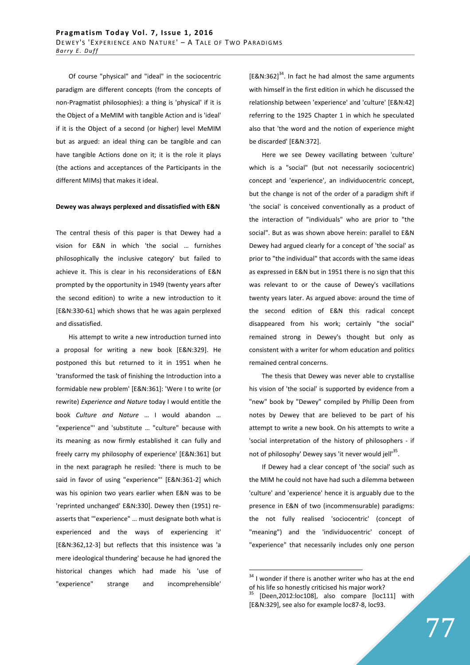Of course "physical" and "ideal" in the sociocentric paradigm are different concepts (from the concepts of non-Pragmatist philosophies): a thing is 'physical' if it is the Object of a MeMIM with tangible Action and is 'ideal' if it is the Object of a second (or higher) level MeMIM but as argued: an ideal thing can be tangible and can have tangible Actions done on it; it is the role it plays (the actions and acceptances of the Participants in the different MIMs) that makes it ideal.

## **Dewey was always perplexed and dissatisfied with E&N**

The central thesis of this paper is that Dewey had a vision for E&N in which 'the social … furnishes philosophically the inclusive category' but failed to achieve it. This is clear in his reconsiderations of E&N prompted by the opportunity in 1949 (twenty years after the second edition) to write a new introduction to it [E&N:330-61] which shows that he was again perplexed and dissatisfied.

 His attempt to write a new introduction turned into a proposal for writing a new book [E&N:329]. He postponed this but returned to it in 1951 when he 'transformed the task of finishing the Introduction into a formidable new problem' [E&N:361]: 'Were I to write (or rewrite) *Experience and Nature* today I would entitle the book *Culture and Nature* … I would abandon … "experience"' and 'substitute … "culture" because with its meaning as now firmly established it can fully and freely carry my philosophy of experience' [E&N:361] but in the next paragraph he resiled: 'there is much to be said in favor of using "experience"' [E&N:361-2] which was his opinion two years earlier when E&N was to be 'reprinted unchanged' E&N:330]. Dewey then (1951) reasserts that '"experience" … must designate both what is experienced and the ways of experiencing it' [E&N:362,12-3] but reflects that this insistence was 'a mere ideological thundering' because he had ignored the historical changes which had made his 'use of "experience" strange and incomprehensible'

 $[EBN:362]^{34}$ . In fact he had almost the same arguments with himself in the first edition in which he discussed the relationship between 'experience' and 'culture' [E&N:42] referring to the 1925 Chapter 1 in which he speculated also that 'the word and the notion of experience might be discarded' [E&N:372].

 Here we see Dewey vacillating between 'culture' which is a "social" (but not necessarily sociocentric) concept and 'experience', an individuocentric concept, but the change is not of the order of a paradigm shift if 'the social' is conceived conventionally as a product of the interaction of "individuals" who are prior to "the social". But as was shown above herein: parallel to E&N Dewey had argued clearly for a concept of 'the social' as prior to "the individual" that accords with the same ideas as expressed in E&N but in 1951 there is no sign that this was relevant to or the cause of Dewey's vacillations twenty years later. As argued above: around the time of the second edition of E&N this radical concept disappeared from his work; certainly "the social" remained strong in Dewey's thought but only as consistent with a writer for whom education and politics remained central concerns.

 The thesis that Dewey was never able to crystallise his vision of 'the social' is supported by evidence from a "new" book by "Dewey" compiled by Phillip Deen from notes by Dewey that are believed to be part of his attempt to write a new book. On his attempts to write a 'social interpretation of the history of philosophers - if not of philosophy' Dewey says 'it never would jell'<sup>35</sup>.

 If Dewey had a clear concept of 'the social' such as the MIM he could not have had such a dilemma between 'culture' and 'experience' hence it is arguably due to the presence in E&N of two (incommensurable) paradigms: the not fully realised 'sociocentric' (concept of "meaning") and the 'individuocentric' concept of "experience" that necessarily includes only one person

 $34$  I wonder if there is another writer who has at the end of his life so honestly criticised his major work?

<sup>[</sup>Deen,2012:loc108], also compare [loc111] with [E&N:329], see also for example loc87-8, loc93.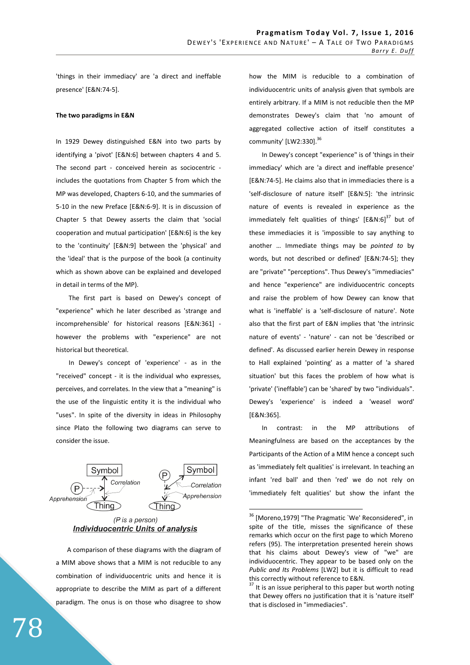'things in their immediacy' are 'a direct and ineffable presence' [E&N:74-5].

## **The two paradigms in E&N**

In 1929 Dewey distinguished E&N into two parts by identifying a 'pivot' [E&N:6] between chapters 4 and 5. The second part - conceived herein as sociocentric includes the quotations from Chapter 5 from which the MP was developed, Chapters 6-10, and the summaries of 5-10 in the new Preface [E&N:6-9]. It is in discussion of Chapter 5 that Dewey asserts the claim that 'social cooperation and mutual participation' [E&N:6] is the key to the 'continuity' [E&N:9] between the 'physical' and the 'ideal' that is the purpose of the book (a continuity which as shown above can be explained and developed in detail in terms of the MP).

 The first part is based on Dewey's concept of "experience" which he later described as 'strange and incomprehensible' for historical reasons [E&N:361] however the problems with "experience" are not historical but theoretical.

 In Dewey's concept of 'experience' - as in the "received" concept - it is the individual who expresses, perceives, and correlates. In the view that a "meaning" is the use of the linguistic entity it is the individual who "uses". In spite of the diversity in ideas in Philosophy since Plato the following two diagrams can serve to consider the issue.



(P is a person) **Individuocentric Units of analysis** 

A comparison of these diagrams with the diagram of a MIM above shows that a MIM is not reducible to any combination of individuocentric units and hence it is appropriate to describe the MIM as part of a different paradigm. The onus is on those who disagree to show how the MIM is reducible to a combination of individuocentric units of analysis given that symbols are entirely arbitrary. If a MIM is not reducible then the MP demonstrates Dewey's claim that 'no amount of aggregated collective action of itself constitutes a community' [LW2:330].<sup>36</sup>

 In Dewey's concept "experience" is of 'things in their immediacy' which are 'a direct and ineffable presence' [E&N:74-5]. He claims also that in immediacies there is a 'self-disclosure of nature itself' [E&N:5]: 'the intrinsic nature of events is revealed in experience as the immediately felt qualities of things'  $[ESN:6]^{37}$  but of these immediacies it is 'impossible to say anything to another … Immediate things may be *pointed to* by words, but not described or defined' [E&N:74-5]; they are "private" "perceptions". Thus Dewey's "immediacies" and hence "experience" are individuocentric concepts and raise the problem of how Dewey can know that what is 'ineffable' is a 'self-disclosure of nature'. Note also that the first part of E&N implies that 'the intrinsic nature of events' - 'nature' - can not be 'described or defined'. As discussed earlier herein Dewey in response to Hall explained 'pointing' as a matter of 'a shared situation' but this faces the problem of how what is 'private' ('ineffable') can be 'shared' by two "individuals". Dewey's 'experience' is indeed a 'weasel word' [E&N:365].

 In contrast: in the MP attributions of Meaningfulness are based on the acceptances by the Participants of the Action of a MIM hence a concept such as 'immediately felt qualities' is irrelevant. In teaching an infant 'red ball' and then 'red' we do not rely on 'immediately felt qualities' but show the infant the

<sup>&</sup>lt;sup>36</sup> [Moreno,1979] "The Pragmatic `We' Reconsidered", in spite of the title, misses the significance of these remarks which occur on the first page to which Moreno refers (95). The interpretation presented herein shows that his claims about Dewey's view of "we" are individuocentric. They appear to be based only on the *Public and Its Problems* [LW2] but it is difficult to read this correctly without reference to E&N.

 $37$  It is an issue peripheral to this paper but worth noting that Dewey offers no justification that it is 'nature itself' that is disclosed in "immediacies".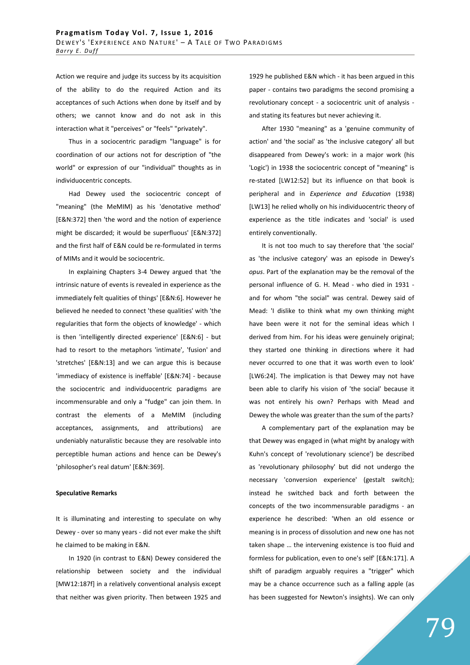Action we require and judge its success by its acquisition of the ability to do the required Action and its acceptances of such Actions when done by itself and by others; we cannot know and do not ask in this interaction what it "perceives" or "feels" "privately".

 Thus in a sociocentric paradigm "language" is for coordination of our actions not for description of "the world" or expression of our "individual" thoughts as in individuocentric concepts.

 Had Dewey used the sociocentric concept of "meaning" (the MeMIM) as his 'denotative method' [E&N:372] then 'the word and the notion of experience might be discarded; it would be superfluous' [E&N:372] and the first half of E&N could be re-formulated in terms of MIMs and it would be sociocentric.

 In explaining Chapters 3-4 Dewey argued that 'the intrinsic nature of events is revealed in experience as the immediately felt qualities of things' [E&N:6]. However he believed he needed to connect 'these qualities' with 'the regularities that form the objects of knowledge' - which is then 'intelligently directed experience' [E&N:6] - but had to resort to the metaphors 'intimate', 'fusion' and 'stretches' [E&N:13] and we can argue this is because 'immediacy of existence is ineffable' [E&N:74] - because the sociocentric and individuocentric paradigms are incommensurable and only a "fudge" can join them. In contrast the elements of a MeMIM (including acceptances, assignments, and attributions) are undeniably naturalistic because they are resolvable into perceptible human actions and hence can be Dewey's 'philosopher's real datum' [E&N:369].

#### **Speculative Remarks**

It is illuminating and interesting to speculate on why Dewey - over so many years - did not ever make the shift he claimed to be making in E&N.

 In 1920 (in contrast to E&N) Dewey considered the relationship between society and the individual [MW12:187f] in a relatively conventional analysis except that neither was given priority. Then between 1925 and

1929 he published E&N which - it has been argued in this paper - contains two paradigms the second promising a revolutionary concept - a sociocentric unit of analysis and stating its features but never achieving it.

 After 1930 "meaning" as a 'genuine community of action' and 'the social' as 'the inclusive category' all but disappeared from Dewey's work: in a major work (his 'Logic') in 1938 the sociocentric concept of "meaning" is re-stated [LW12:52] but its influence on that book is peripheral and in *Experience and Education* (1938) [LW13] he relied wholly on his individuocentric theory of experience as the title indicates and 'social' is used entirely conventionally.

 It is not too much to say therefore that 'the social' as 'the inclusive category' was an episode in Dewey's *opus*. Part of the explanation may be the removal of the personal influence of G. H. Mead - who died in 1931 and for whom "the social" was central. Dewey said of Mead: 'I dislike to think what my own thinking might have been were it not for the seminal ideas which I derived from him. For his ideas were genuinely original; they started one thinking in directions where it had never occurred to one that it was worth even to look' [LW6:24]. The implication is that Dewey may not have been able to clarify his vision of 'the social' because it was not entirely his own? Perhaps with Mead and Dewey the whole was greater than the sum of the parts?

 A complementary part of the explanation may be that Dewey was engaged in (what might by analogy with Kuhn's concept of 'revolutionary science') be described as 'revolutionary philosophy' but did not undergo the necessary 'conversion experience' (gestalt switch); instead he switched back and forth between the concepts of the two incommensurable paradigms - an experience he described: 'When an old essence or meaning is in process of dissolution and new one has not taken shape … the intervening existence is too fluid and formless for publication, even to one's self' [E&N:171]. A shift of paradigm arguably requires a "trigger" which may be a chance occurrence such as a falling apple (as has been suggested for Newton's insights). We can only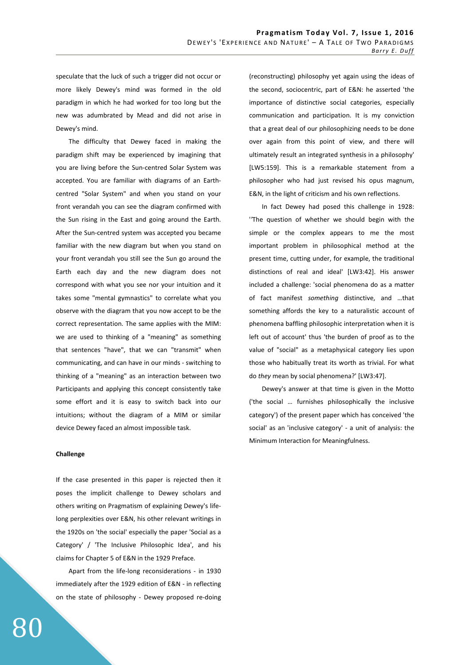speculate that the luck of such a trigger did not occur or more likely Dewey's mind was formed in the old paradigm in which he had worked for too long but the new was adumbrated by Mead and did not arise in Dewey's mind.

 The difficulty that Dewey faced in making the paradigm shift may be experienced by imagining that you are living before the Sun-centred Solar System was accepted. You are familiar with diagrams of an Earthcentred "Solar System" and when you stand on your front verandah you can see the diagram confirmed with the Sun rising in the East and going around the Earth. After the Sun-centred system was accepted you became familiar with the new diagram but when you stand on your front verandah you still see the Sun go around the Earth each day and the new diagram does not correspond with what you see nor your intuition and it takes some "mental gymnastics" to correlate what you observe with the diagram that you now accept to be the correct representation. The same applies with the MIM: we are used to thinking of a "meaning" as something that sentences "have", that we can "transmit" when communicating, and can have in our minds - switching to thinking of a "meaning" as an interaction between two Participants and applying this concept consistently take some effort and it is easy to switch back into our intuitions; without the diagram of a MIM or similar device Dewey faced an almost impossible task.

#### **Challenge**

If the case presented in this paper is rejected then it poses the implicit challenge to Dewey scholars and others writing on Pragmatism of explaining Dewey's lifelong perplexities over E&N, his other relevant writings in the 1920s on 'the social' especially the paper 'Social as a Category' / 'The Inclusive Philosophic Idea', and his claims for Chapter 5 of E&N in the 1929 Preface.

 Apart from the life-long reconsiderations - in 1930 immediately after the 1929 edition of E&N - in reflecting on the state of philosophy - Dewey proposed re-doing (reconstructing) philosophy yet again using the ideas of the second, sociocentric, part of E&N: he asserted 'the importance of distinctive social categories, especially communication and participation. It is my conviction that a great deal of our philosophizing needs to be done over again from this point of view, and there will ultimately result an integrated synthesis in a philosophy' [LW5:159]. This is a remarkable statement from a philosopher who had just revised his opus magnum, E&N, in the light of criticism and his own reflections.

 In fact Dewey had posed this challenge in 1928: '*'*The question of whether we should begin with the simple or the complex appears to me the most important problem in philosophical method at the present time, cutting under, for example, the traditional distinctions of real and ideal' [LW3:42]. His answer included a challenge: 'social phenomena do as a matter of fact manifest *something* distinctive, and …that something affords the key to a naturalistic account of phenomena baffling philosophic interpretation when it is left out of account' thus 'the burden of proof as to the value of "social" as a metaphysical category lies upon those who habitually treat its worth as trivial. For what do *they* mean by social phenomena?' [LW3:47].

 Dewey's answer at that time is given in the Motto ('the social … furnishes philosophically the inclusive category') of the present paper which has conceived 'the social' as an 'inclusive category' - a unit of analysis: the Minimum Interaction for Meaningfulness.

# 80